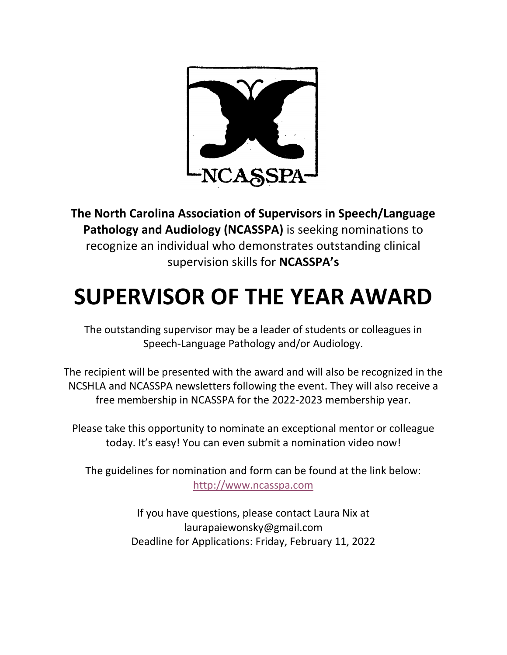

**The North Carolina Association of Supervisors in Speech/Language Pathology and Audiology (NCASSPA)** is seeking nominations to recognize an individual who demonstrates outstanding clinical supervision skills for **NCASSPA's** 

# **SUPERVISOR OF THE YEAR AWARD**

The outstanding supervisor may be a leader of students or colleagues in Speech-Language Pathology and/or Audiology.

The recipient will be presented with the award and will also be recognized in the NCSHLA and NCASSPA newsletters following the event. They will also receive a free membership in NCASSPA for the 2022-2023 membership year.

Please take this opportunity to nominate an exceptional mentor or colleague today. It's easy! You can even submit a nomination video now!

The guidelines for nomination and form can be found at the link below: [http://www.ncasspa.com](http://www.ncasspa.com/)

> If you have questions, please contact Laura Nix at laurapaiewonsky@gmail.com Deadline for Applications: Friday, February 11, 2022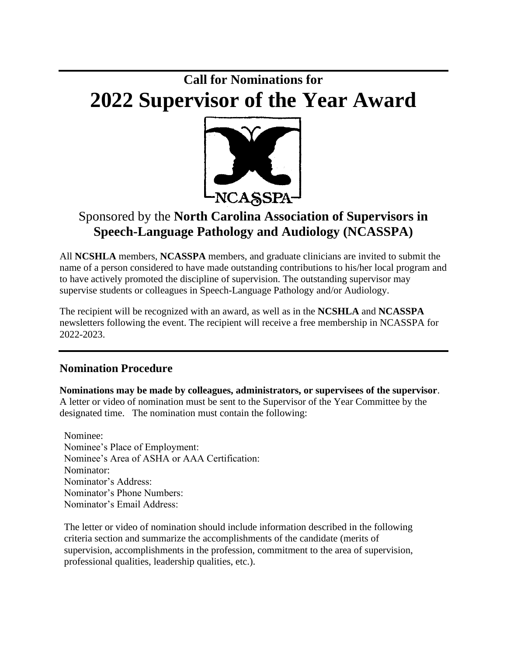## **Call for Nominations for 2022 Supervisor of the Year Award**



### Sponsored by the **North Carolina Association of Supervisors in Speech-Language Pathology and Audiology (NCASSPA)**

All **NCSHLA** members, **NCASSPA** members, and graduate clinicians are invited to submit the name of a person considered to have made outstanding contributions to his/her local program and to have actively promoted the discipline of supervision. The outstanding supervisor may supervise students or colleagues in Speech-Language Pathology and/or Audiology.

The recipient will be recognized with an award, as well as in the **NCSHLA** and **NCASSPA** newsletters following the event. The recipient will receive a free membership in NCASSPA for 2022-2023.

#### **Nomination Procedure**

**Nominations may be made by colleagues, administrators, or supervisees of the supervisor**. A letter or video of nomination must be sent to the Supervisor of the Year Committee by the designated time. The nomination must contain the following:

Nominee: Nominee's Place of Employment: Nominee's Area of ASHA or AAA Certification: Nominator: Nominator's Address: Nominator's Phone Numbers: Nominator's Email Address:

The letter or video of nomination should include information described in the following criteria section and summarize the accomplishments of the candidate (merits of supervision, accomplishments in the profession, commitment to the area of supervision, professional qualities, leadership qualities, etc.).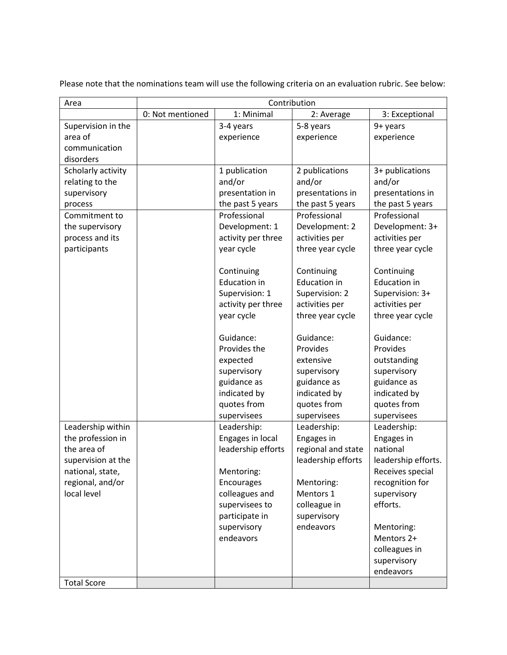Please note that the nominations team will use the following criteria on an evaluation rubric. See below:

| Area               | Contribution     |                             |                             |                             |
|--------------------|------------------|-----------------------------|-----------------------------|-----------------------------|
|                    | 0: Not mentioned | 1: Minimal                  | 2: Average                  | 3: Exceptional              |
| Supervision in the |                  | 3-4 years                   | 5-8 years                   | 9+ years                    |
| area of            |                  | experience                  | experience                  | experience                  |
| communication      |                  |                             |                             |                             |
| disorders          |                  |                             |                             |                             |
| Scholarly activity |                  | 1 publication               | 2 publications              | 3+ publications             |
| relating to the    |                  | and/or                      | and/or                      | and/or                      |
| supervisory        |                  | presentation in             | presentations in            | presentations in            |
| process            |                  | the past 5 years            | the past 5 years            | the past 5 years            |
| Commitment to      |                  | Professional                | Professional                | Professional                |
| the supervisory    |                  | Development: 1              | Development: 2              | Development: 3+             |
| process and its    |                  | activity per three          | activities per              | activities per              |
| participants       |                  | year cycle                  | three year cycle            | three year cycle            |
|                    |                  |                             |                             |                             |
|                    |                  | Continuing                  | Continuing                  | Continuing                  |
|                    |                  | <b>Education in</b>         | <b>Education in</b>         | <b>Education in</b>         |
|                    |                  | Supervision: 1              | Supervision: 2              | Supervision: 3+             |
|                    |                  | activity per three          | activities per              | activities per              |
|                    |                  | year cycle                  | three year cycle            | three year cycle            |
|                    |                  | Guidance:                   |                             |                             |
|                    |                  | Provides the                | Guidance:<br>Provides       | Guidance:<br>Provides       |
|                    |                  |                             |                             |                             |
|                    |                  | expected                    | extensive                   | outstanding                 |
|                    |                  | supervisory                 | supervisory                 | supervisory                 |
|                    |                  | guidance as                 | guidance as                 | guidance as                 |
|                    |                  | indicated by<br>quotes from | indicated by<br>quotes from | indicated by<br>quotes from |
|                    |                  | supervisees                 | supervisees                 | supervisees                 |
| Leadership within  |                  | Leadership:                 | Leadership:                 | Leadership:                 |
| the profession in  |                  | Engages in local            | Engages in                  | Engages in                  |
| the area of        |                  | leadership efforts          | regional and state          | national                    |
| supervision at the |                  |                             | leadership efforts          | leadership efforts.         |
| national, state,   |                  | Mentoring:                  |                             | Receives special            |
| regional, and/or   |                  | Encourages                  | Mentoring:                  | recognition for             |
| local level        |                  | colleagues and              | Mentors 1                   | supervisory                 |
|                    |                  | supervisees to              | colleague in                | efforts.                    |
|                    |                  | participate in              | supervisory                 |                             |
|                    |                  | supervisory                 | endeavors                   | Mentoring:                  |
|                    |                  | endeavors                   |                             | Mentors 2+                  |
|                    |                  |                             |                             | colleagues in               |
|                    |                  |                             |                             | supervisory                 |
|                    |                  |                             |                             | endeavors                   |
| <b>Total Score</b> |                  |                             |                             |                             |